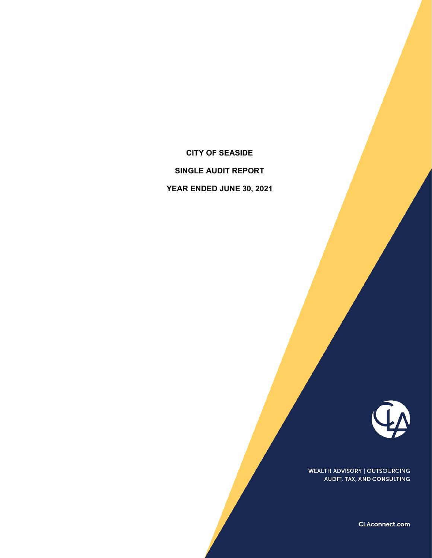**CITY OF SEASIDE SINGLE AUDIT REPORT YEAR ENDED JUNE 30, 2021** 



WEALTH ADVISORY | OUTSOURCING AUDIT, TAX, AND CONSULTING

CLAconnect.com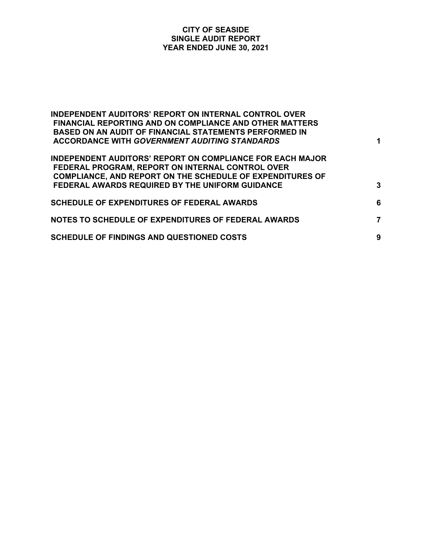# **CITY OF SEASIDE SINGLE AUDIT REPORT YEAR ENDED JUNE 30, 2021**

| <b>INDEPENDENT AUDITORS' REPORT ON INTERNAL CONTROL OVER</b><br><b>FINANCIAL REPORTING AND ON COMPLIANCE AND OTHER MATTERS</b><br><b>BASED ON AN AUDIT OF FINANCIAL STATEMENTS PERFORMED IN</b><br><b>ACCORDANCE WITH GOVERNMENT AUDITING STANDARDS</b> | 1 |
|---------------------------------------------------------------------------------------------------------------------------------------------------------------------------------------------------------------------------------------------------------|---|
| <b>INDEPENDENT AUDITORS' REPORT ON COMPLIANCE FOR EACH MAJOR</b><br>FEDERAL PROGRAM, REPORT ON INTERNAL CONTROL OVER<br><b>COMPLIANCE, AND REPORT ON THE SCHEDULE OF EXPENDITURES OF</b><br>FEDERAL AWARDS REQUIRED BY THE UNIFORM GUIDANCE             | 3 |
| <b>SCHEDULE OF EXPENDITURES OF FEDERAL AWARDS</b>                                                                                                                                                                                                       | 6 |
| NOTES TO SCHEDULE OF EXPENDITURES OF FEDERAL AWARDS                                                                                                                                                                                                     | 7 |
| <b>SCHEDULE OF FINDINGS AND QUESTIONED COSTS</b>                                                                                                                                                                                                        | 9 |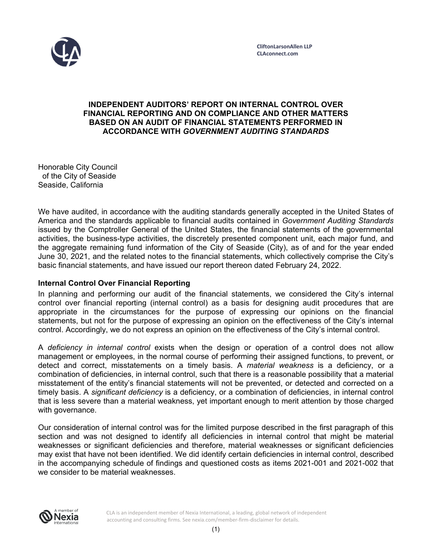

**CliftonLarsonAllen LLP CLAconnect.com**

# **INDEPENDENT AUDITORS' REPORT ON INTERNAL CONTROL OVER FINANCIAL REPORTING AND ON COMPLIANCE AND OTHER MATTERS BASED ON AN AUDIT OF FINANCIAL STATEMENTS PERFORMED IN ACCORDANCE WITH** *GOVERNMENT AUDITING STANDARDS*

Honorable City Council of the City of Seaside Seaside, California

We have audited, in accordance with the auditing standards generally accepted in the United States of America and the standards applicable to financial audits contained in *Government Auditing Standards* issued by the Comptroller General of the United States, the financial statements of the governmental activities, the business-type activities, the discretely presented component unit, each major fund, and the aggregate remaining fund information of the City of Seaside (City), as of and for the year ended June 30, 2021, and the related notes to the financial statements, which collectively comprise the City's basic financial statements, and have issued our report thereon dated February 24, 2022.

# **Internal Control Over Financial Reporting**

In planning and performing our audit of the financial statements, we considered the City's internal control over financial reporting (internal control) as a basis for designing audit procedures that are appropriate in the circumstances for the purpose of expressing our opinions on the financial statements, but not for the purpose of expressing an opinion on the effectiveness of the City's internal control. Accordingly, we do not express an opinion on the effectiveness of the City's internal control.

A *deficiency in internal control* exists when the design or operation of a control does not allow management or employees, in the normal course of performing their assigned functions, to prevent, or detect and correct, misstatements on a timely basis. A *material weakness* is a deficiency, or a combination of deficiencies, in internal control, such that there is a reasonable possibility that a material misstatement of the entity's financial statements will not be prevented, or detected and corrected on a timely basis. A *significant deficiency* is a deficiency, or a combination of deficiencies, in internal control that is less severe than a material weakness, yet important enough to merit attention by those charged with governance.

Our consideration of internal control was for the limited purpose described in the first paragraph of this section and was not designed to identify all deficiencies in internal control that might be material weaknesses or significant deficiencies and therefore, material weaknesses or significant deficiencies may exist that have not been identified. We did identify certain deficiencies in internal control, described in the accompanying schedule of findings and questioned costs as items 2021-001 and 2021-002 that we consider to be material weaknesses.



CLA is an independent member of Nexia International, a leading, global network of independent accounting and consulting firms. See nexia.com/member-firm-disclaimer for details.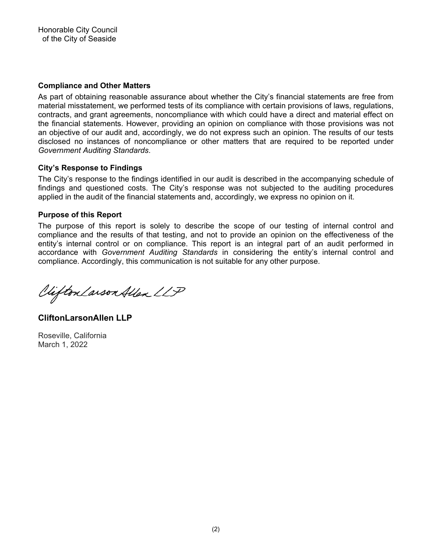## **Compliance and Other Matters**

As part of obtaining reasonable assurance about whether the City's financial statements are free from material misstatement, we performed tests of its compliance with certain provisions of laws, regulations, contracts, and grant agreements, noncompliance with which could have a direct and material effect on the financial statements. However, providing an opinion on compliance with those provisions was not an objective of our audit and, accordingly, we do not express such an opinion. The results of our tests disclosed no instances of noncompliance or other matters that are required to be reported under *Government Auditing Standards*.

## **City's Response to Findings**

The City's response to the findings identified in our audit is described in the accompanying schedule of findings and questioned costs. The City's response was not subjected to the auditing procedures applied in the audit of the financial statements and, accordingly, we express no opinion on it.

## **Purpose of this Report**

The purpose of this report is solely to describe the scope of our testing of internal control and compliance and the results of that testing, and not to provide an opinion on the effectiveness of the entity's internal control or on compliance. This report is an integral part of an audit performed in accordance with *Government Auditing Standards* in considering the entity's internal control and compliance. Accordingly, this communication is not suitable for any other purpose.

Viifton Larson Allen LLP

**CliftonLarsonAllen LLP** 

Roseville, California March 1, 2022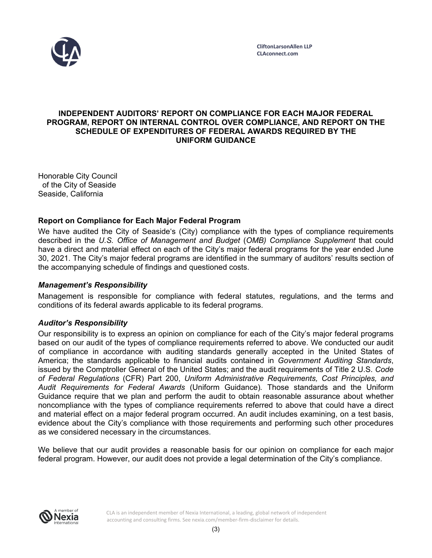

## **INDEPENDENT AUDITORS' REPORT ON COMPLIANCE FOR EACH MAJOR FEDERAL PROGRAM, REPORT ON INTERNAL CONTROL OVER COMPLIANCE, AND REPORT ON THE SCHEDULE OF EXPENDITURES OF FEDERAL AWARDS REQUIRED BY THE UNIFORM GUIDANCE**

Honorable City Council of the City of Seaside Seaside, California

# **Report on Compliance for Each Major Federal Program**

We have audited the City of Seaside's (City) compliance with the types of compliance requirements described in the *U.S. Office of Management and Budget* (*OMB) Compliance Supplement* that could have a direct and material effect on each of the City's major federal programs for the year ended June 30, 2021. The City's major federal programs are identified in the summary of auditors' results section of the accompanying schedule of findings and questioned costs.

# *Management's Responsibility*

Management is responsible for compliance with federal statutes, regulations, and the terms and conditions of its federal awards applicable to its federal programs.

#### *Auditor's Responsibility*

Our responsibility is to express an opinion on compliance for each of the City's major federal programs based on our audit of the types of compliance requirements referred to above. We conducted our audit of compliance in accordance with auditing standards generally accepted in the United States of America; the standards applicable to financial audits contained in *Government Auditing Standards*, issued by the Comptroller General of the United States; and the audit requirements of Title 2 U.S. *Code of Federal Regulations* (CFR) Part 200, *Uniform Administrative Requirements, Cost Principles, and Audit Requirements for Federal Awards* (Uniform Guidance)*.* Those standards and the Uniform Guidance require that we plan and perform the audit to obtain reasonable assurance about whether noncompliance with the types of compliance requirements referred to above that could have a direct and material effect on a major federal program occurred. An audit includes examining, on a test basis, evidence about the City's compliance with those requirements and performing such other procedures as we considered necessary in the circumstances.

We believe that our audit provides a reasonable basis for our opinion on compliance for each major federal program. However, our audit does not provide a legal determination of the City's compliance.



CLA is an independent member of Nexia International, a leading, global network of independent accounting and consulting firms. See nexia.com/member-firm-disclaimer for details.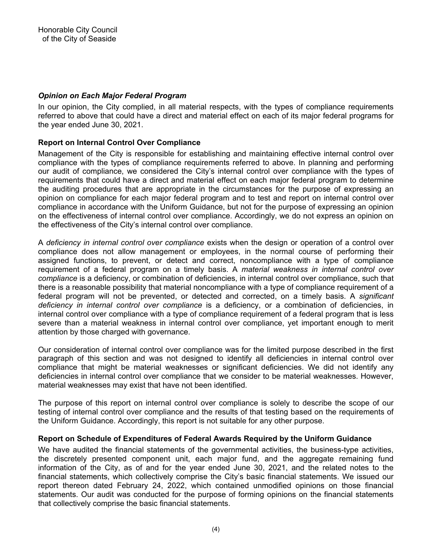# *Opinion on Each Major Federal Program*

In our opinion, the City complied, in all material respects, with the types of compliance requirements referred to above that could have a direct and material effect on each of its major federal programs for the year ended June 30, 2021.

# **Report on Internal Control Over Compliance**

Management of the City is responsible for establishing and maintaining effective internal control over compliance with the types of compliance requirements referred to above. In planning and performing our audit of compliance, we considered the City's internal control over compliance with the types of requirements that could have a direct and material effect on each major federal program to determine the auditing procedures that are appropriate in the circumstances for the purpose of expressing an opinion on compliance for each major federal program and to test and report on internal control over compliance in accordance with the Uniform Guidance, but not for the purpose of expressing an opinion on the effectiveness of internal control over compliance. Accordingly, we do not express an opinion on the effectiveness of the City's internal control over compliance.

A *deficiency in internal control over compliance* exists when the design or operation of a control over compliance does not allow management or employees, in the normal course of performing their assigned functions, to prevent, or detect and correct, noncompliance with a type of compliance requirement of a federal program on a timely basis. A *material weakness in internal control over compliance* is a deficiency, or combination of deficiencies, in internal control over compliance, such that there is a reasonable possibility that material noncompliance with a type of compliance requirement of a federal program will not be prevented, or detected and corrected, on a timely basis. A *significant deficiency in internal control over compliance* is a deficiency, or a combination of deficiencies, in internal control over compliance with a type of compliance requirement of a federal program that is less severe than a material weakness in internal control over compliance, yet important enough to merit attention by those charged with governance.

Our consideration of internal control over compliance was for the limited purpose described in the first paragraph of this section and was not designed to identify all deficiencies in internal control over compliance that might be material weaknesses or significant deficiencies. We did not identify any deficiencies in internal control over compliance that we consider to be material weaknesses. However, material weaknesses may exist that have not been identified.

The purpose of this report on internal control over compliance is solely to describe the scope of our testing of internal control over compliance and the results of that testing based on the requirements of the Uniform Guidance. Accordingly, this report is not suitable for any other purpose.

# **Report on Schedule of Expenditures of Federal Awards Required by the Uniform Guidance**

We have audited the financial statements of the governmental activities, the business-type activities, the discretely presented component unit, each major fund, and the aggregate remaining fund information of the City, as of and for the year ended June 30, 2021, and the related notes to the financial statements, which collectively comprise the City's basic financial statements. We issued our report thereon dated February 24, 2022, which contained unmodified opinions on those financial statements. Our audit was conducted for the purpose of forming opinions on the financial statements that collectively comprise the basic financial statements.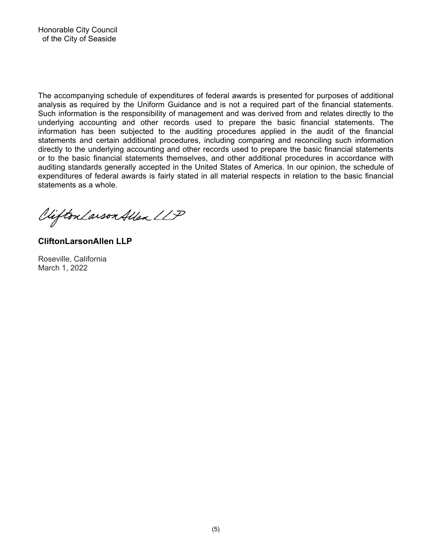Honorable City Council of the City of Seaside

The accompanying schedule of expenditures of federal awards is presented for purposes of additional analysis as required by the Uniform Guidance and is not a required part of the financial statements. Such information is the responsibility of management and was derived from and relates directly to the underlying accounting and other records used to prepare the basic financial statements. The information has been subjected to the auditing procedures applied in the audit of the financial statements and certain additional procedures, including comparing and reconciling such information directly to the underlying accounting and other records used to prepare the basic financial statements or to the basic financial statements themselves, and other additional procedures in accordance with auditing standards generally accepted in the United States of America. In our opinion, the schedule of expenditures of federal awards is fairly stated in all material respects in relation to the basic financial statements as a whole.

Viifton Larson Allen LLP

**CliftonLarsonAllen LLP** 

Roseville, California March 1, 2022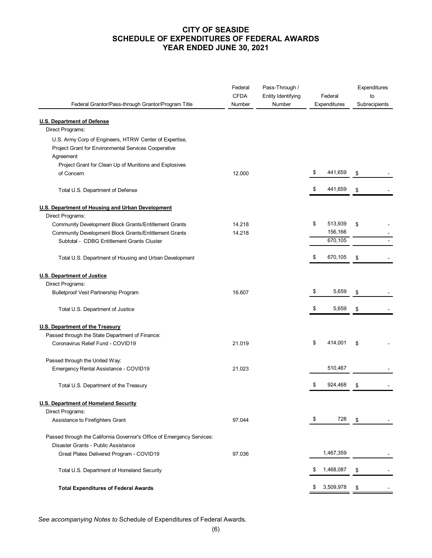## **CITY OF SEASIDE SCHEDULE OF EXPENDITURES OF FEDERAL AWARDS YEAR ENDED JUNE 30, 2021**

| Federal Grantor/Pass-through Grantor/Program Title                                                                          | Federal<br><b>CFDA</b><br>Number | Pass-Through /<br>Entity Identifying<br>Number | Federal<br>Expenditures |           | Expenditures<br>to<br>Subrecipients |  |
|-----------------------------------------------------------------------------------------------------------------------------|----------------------------------|------------------------------------------------|-------------------------|-----------|-------------------------------------|--|
|                                                                                                                             |                                  |                                                |                         |           |                                     |  |
| <b>U.S. Department of Defense</b><br>Direct Programs:                                                                       |                                  |                                                |                         |           |                                     |  |
| U.S. Army Corp of Engineers, HTRW Center of Expertise,<br>Project Grant for Environmental Services Cooperative<br>Agreement |                                  |                                                |                         |           |                                     |  |
| Project Grant for Clean Up of Munitions and Explosives                                                                      |                                  |                                                |                         |           |                                     |  |
| of Concern                                                                                                                  | 12.000                           |                                                | \$                      | 441,659   | \$                                  |  |
| Total U.S. Department of Defense                                                                                            |                                  |                                                | \$                      | 441,659   | \$                                  |  |
| U.S. Department of Housing and Urban Development<br>Direct Programs:                                                        |                                  |                                                |                         |           |                                     |  |
| <b>Community Development Block Grants/Entitlement Grants</b>                                                                | 14.218                           |                                                | \$                      | 513,939   | \$                                  |  |
| Community Development Block Grants/Entitlement Grants                                                                       | 14.218                           |                                                |                         | 156,166   |                                     |  |
| Subtotal - CDBG Entitlement Grants Cluster                                                                                  |                                  |                                                |                         | 670,105   |                                     |  |
| Total U.S. Department of Housing and Urban Development                                                                      |                                  |                                                | \$                      | 670,105   | \$                                  |  |
| <b>U.S. Department of Justice</b>                                                                                           |                                  |                                                |                         |           |                                     |  |
| Direct Programs:                                                                                                            |                                  |                                                |                         |           |                                     |  |
| Bulletproof Vest Partnership Program                                                                                        | 16.607                           |                                                | \$                      | 5,659     | \$                                  |  |
| Total U.S. Department of Justice                                                                                            |                                  |                                                | \$                      | 5,659     | \$                                  |  |
| U.S. Department of the Treasury                                                                                             |                                  |                                                |                         |           |                                     |  |
| Passed through the State Department of Finance:                                                                             |                                  |                                                |                         |           |                                     |  |
| Coronavirus Relief Fund - COVID19                                                                                           | 21.019                           |                                                | \$                      | 414,001   | \$                                  |  |
| Passed through the United Way:                                                                                              |                                  |                                                |                         |           |                                     |  |
| Emergency Rental Assistance - COVID19                                                                                       | 21.023                           |                                                |                         | 510,467   |                                     |  |
| Total U.S. Department of the Treasury                                                                                       |                                  |                                                | \$                      | 924,468   | \$                                  |  |
| <b>U.S. Department of Homeland Security</b>                                                                                 |                                  |                                                |                         |           |                                     |  |
| Direct Programs:                                                                                                            |                                  |                                                |                         |           |                                     |  |
| Assistance to Firefighters Grant                                                                                            | 97.044                           |                                                | \$                      | 728       | \$                                  |  |
| Passed through the California Governor's Office of Emergency Services:                                                      |                                  |                                                |                         |           |                                     |  |
| Disaster Grants - Public Assistance                                                                                         |                                  |                                                |                         |           |                                     |  |
| Great Plates Delivered Program - COVID19                                                                                    | 97.036                           |                                                |                         | 1,467,359 |                                     |  |
| Total U.S. Department of Homeland Security                                                                                  |                                  |                                                | S                       | 1,468,087 | \$                                  |  |
| <b>Total Expenditures of Federal Awards</b>                                                                                 |                                  |                                                | \$                      | 3,509,978 | \$                                  |  |

*See accompanying Notes to* Schedule of Expenditures of Federal Awards*.*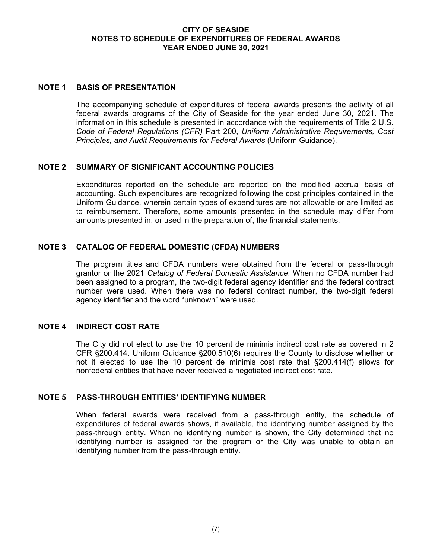#### **CITY OF SEASIDE NOTES TO SCHEDULE OF EXPENDITURES OF FEDERAL AWARDS YEAR ENDED JUNE 30, 2021**

#### **NOTE 1 BASIS OF PRESENTATION**

The accompanying schedule of expenditures of federal awards presents the activity of all federal awards programs of the City of Seaside for the year ended June 30, 2021. The information in this schedule is presented in accordance with the requirements of Title 2 U.S. *Code of Federal Regulations (CFR)* Part 200, *Uniform Administrative Requirements, Cost Principles, and Audit Requirements for Federal Awards* (Uniform Guidance).

## **NOTE 2 SUMMARY OF SIGNIFICANT ACCOUNTING POLICIES**

Expenditures reported on the schedule are reported on the modified accrual basis of accounting. Such expenditures are recognized following the cost principles contained in the Uniform Guidance, wherein certain types of expenditures are not allowable or are limited as to reimbursement. Therefore, some amounts presented in the schedule may differ from amounts presented in, or used in the preparation of, the financial statements.

#### **NOTE 3 CATALOG OF FEDERAL DOMESTIC (CFDA) NUMBERS**

The program titles and CFDA numbers were obtained from the federal or pass-through grantor or the 2021 *Catalog of Federal Domestic Assistance*. When no CFDA number had been assigned to a program, the two-digit federal agency identifier and the federal contract number were used. When there was no federal contract number, the two-digit federal agency identifier and the word "unknown" were used.

## **NOTE 4 INDIRECT COST RATE**

The City did not elect to use the 10 percent de minimis indirect cost rate as covered in 2 CFR §200.414. Uniform Guidance §200.510(6) requires the County to disclose whether or not it elected to use the 10 percent de minimis cost rate that §200.414(f) allows for nonfederal entities that have never received a negotiated indirect cost rate.

#### **NOTE 5 PASS-THROUGH ENTITIES' IDENTIFYING NUMBER**

When federal awards were received from a pass-through entity, the schedule of expenditures of federal awards shows, if available, the identifying number assigned by the pass-through entity. When no identifying number is shown, the City determined that no identifying number is assigned for the program or the City was unable to obtain an identifying number from the pass-through entity.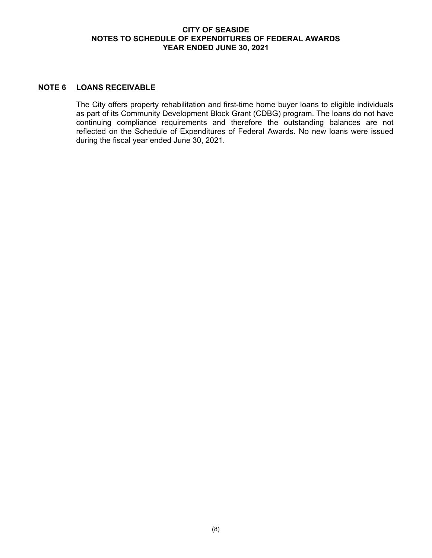#### **CITY OF SEASIDE NOTES TO SCHEDULE OF EXPENDITURES OF FEDERAL AWARDS YEAR ENDED JUNE 30, 2021**

#### **NOTE 6 LOANS RECEIVABLE**

The City offers property rehabilitation and first-time home buyer loans to eligible individuals as part of its Community Development Block Grant (CDBG) program. The loans do not have continuing compliance requirements and therefore the outstanding balances are not reflected on the Schedule of Expenditures of Federal Awards. No new loans were issued during the fiscal year ended June 30, 2021.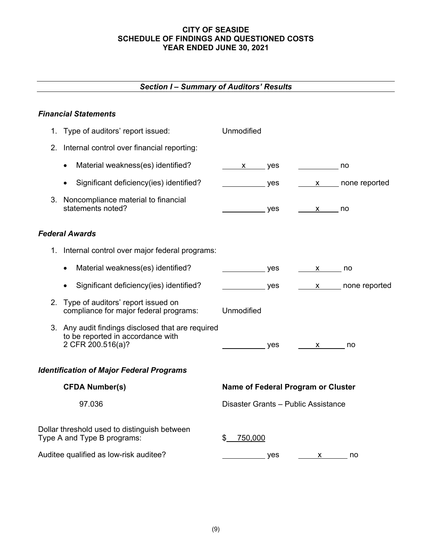## **CITY OF SEASIDE SCHEDULE OF FINDINGS AND QUESTIONED COSTS YEAR ENDED JUNE 30, 2021**

# *Section I – Summary of Auditors' Results*

# *Financial Statements*

| 1. Type of auditors' report issued:                                                                         | Unmodified                                                                                                                                                                                                                                                                                                                                                                                                           |     |                                                           |                                               |  |  |
|-------------------------------------------------------------------------------------------------------------|----------------------------------------------------------------------------------------------------------------------------------------------------------------------------------------------------------------------------------------------------------------------------------------------------------------------------------------------------------------------------------------------------------------------|-----|-----------------------------------------------------------|-----------------------------------------------|--|--|
| 2. Internal control over financial reporting:                                                               |                                                                                                                                                                                                                                                                                                                                                                                                                      |     |                                                           |                                               |  |  |
| Material weakness(es) identified?<br>$\bullet$                                                              | <u>x</u> yes                                                                                                                                                                                                                                                                                                                                                                                                         |     | $\overline{\phantom{a}}$                                  | no                                            |  |  |
| Significant deficiency(ies) identified?<br>$\bullet$                                                        |                                                                                                                                                                                                                                                                                                                                                                                                                      | yes |                                                           | x none reported                               |  |  |
| 3. Noncompliance material to financial<br>statements noted?                                                 | <u>yes</u>                                                                                                                                                                                                                                                                                                                                                                                                           |     | $\frac{\mathsf{x}}{\mathsf{x}}$ no                        |                                               |  |  |
| <b>Federal Awards</b>                                                                                       |                                                                                                                                                                                                                                                                                                                                                                                                                      |     |                                                           |                                               |  |  |
| 1. Internal control over major federal programs:                                                            |                                                                                                                                                                                                                                                                                                                                                                                                                      |     |                                                           |                                               |  |  |
| Material weakness(es) identified?<br>$\bullet$                                                              | ______________ yes                                                                                                                                                                                                                                                                                                                                                                                                   |     | $\begin{array}{ccc} \mathsf{x} & \mathsf{no} \end{array}$ |                                               |  |  |
| Significant deficiency(ies) identified?<br>$\bullet$                                                        | $\frac{1}{\sqrt{1-\frac{1}{2}}\sqrt{1-\frac{1}{2}}\sqrt{1-\frac{1}{2}}\sqrt{1-\frac{1}{2}}\sqrt{1-\frac{1}{2}}\sqrt{1-\frac{1}{2}}\sqrt{1-\frac{1}{2}}\sqrt{1-\frac{1}{2}}\sqrt{1-\frac{1}{2}}\sqrt{1-\frac{1}{2}}\sqrt{1-\frac{1}{2}}\sqrt{1-\frac{1}{2}}\sqrt{1-\frac{1}{2}}\sqrt{1-\frac{1}{2}}\sqrt{1-\frac{1}{2}}\sqrt{1-\frac{1}{2}}\sqrt{1-\frac{1}{2}}\sqrt{1-\frac{1}{2}}\sqrt{1-\frac{1}{2}}\sqrt{1-\frac$ |     |                                                           | $\frac{\mathsf{x}}{\mathsf{x}}$ none reported |  |  |
| 2. Type of auditors' report issued on<br>compliance for major federal programs:                             | Unmodified                                                                                                                                                                                                                                                                                                                                                                                                           |     |                                                           |                                               |  |  |
| 3. Any audit findings disclosed that are required<br>to be reported in accordance with<br>2 CFR 200.516(a)? | yes                                                                                                                                                                                                                                                                                                                                                                                                                  |     | x no                                                      |                                               |  |  |
| <b>Identification of Major Federal Programs</b>                                                             |                                                                                                                                                                                                                                                                                                                                                                                                                      |     |                                                           |                                               |  |  |
| <b>CFDA Number(s)</b>                                                                                       | Name of Federal Program or Cluster                                                                                                                                                                                                                                                                                                                                                                                   |     |                                                           |                                               |  |  |
| 97.036                                                                                                      | Disaster Grants - Public Assistance                                                                                                                                                                                                                                                                                                                                                                                  |     |                                                           |                                               |  |  |
| Dollar threshold used to distinguish between<br>Type A and Type B programs:                                 | 750,000<br>\$                                                                                                                                                                                                                                                                                                                                                                                                        |     |                                                           |                                               |  |  |
| Auditee qualified as low-risk auditee?                                                                      | <u>ves</u>                                                                                                                                                                                                                                                                                                                                                                                                           |     | <u>x</u> no                                               |                                               |  |  |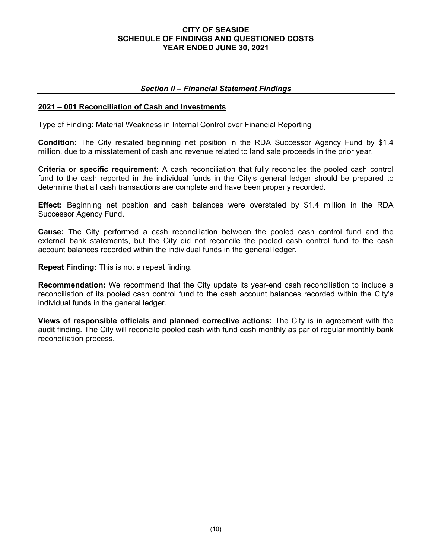#### **CITY OF SEASIDE SCHEDULE OF FINDINGS AND QUESTIONED COSTS YEAR ENDED JUNE 30, 2021**

# *Section II – Financial Statement Findings*

## **2021 – 001 Reconciliation of Cash and Investments**

Type of Finding: Material Weakness in Internal Control over Financial Reporting

**Condition:** The City restated beginning net position in the RDA Successor Agency Fund by \$1.4 million, due to a misstatement of cash and revenue related to land sale proceeds in the prior year.

**Criteria or specific requirement:** A cash reconciliation that fully reconciles the pooled cash control fund to the cash reported in the individual funds in the City's general ledger should be prepared to determine that all cash transactions are complete and have been properly recorded.

**Effect:** Beginning net position and cash balances were overstated by \$1.4 million in the RDA Successor Agency Fund.

**Cause:** The City performed a cash reconciliation between the pooled cash control fund and the external bank statements, but the City did not reconcile the pooled cash control fund to the cash account balances recorded within the individual funds in the general ledger.

**Repeat Finding:** This is not a repeat finding.

**Recommendation:** We recommend that the City update its year-end cash reconciliation to include a reconciliation of its pooled cash control fund to the cash account balances recorded within the City's individual funds in the general ledger.

**Views of responsible officials and planned corrective actions:** The City is in agreement with the audit finding. The City will reconcile pooled cash with fund cash monthly as par of regular monthly bank reconciliation process.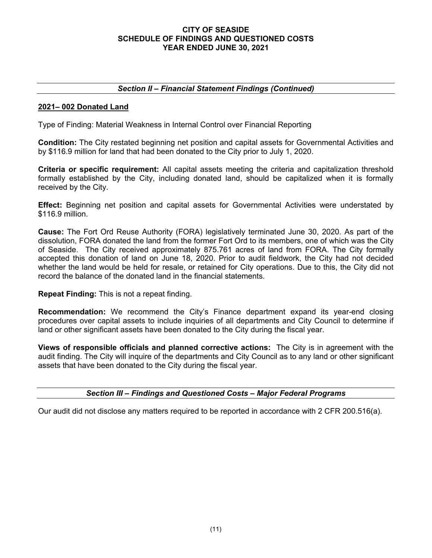#### **CITY OF SEASIDE SCHEDULE OF FINDINGS AND QUESTIONED COSTS YEAR ENDED JUNE 30, 2021**

# *Section II – Financial Statement Findings (Continued)*

# **2021– 002 Donated Land**

Type of Finding: Material Weakness in Internal Control over Financial Reporting

**Condition:** The City restated beginning net position and capital assets for Governmental Activities and by \$116.9 million for land that had been donated to the City prior to July 1, 2020.

**Criteria or specific requirement:** All capital assets meeting the criteria and capitalization threshold formally established by the City, including donated land, should be capitalized when it is formally received by the City.

**Effect:** Beginning net position and capital assets for Governmental Activities were understated by \$116.9 million.

**Cause:** The Fort Ord Reuse Authority (FORA) legislatively terminated June 30, 2020. As part of the dissolution, FORA donated the land from the former Fort Ord to its members, one of which was the City of Seaside. The City received approximately 875.761 acres of land from FORA. The City formally accepted this donation of land on June 18, 2020. Prior to audit fieldwork, the City had not decided whether the land would be held for resale, or retained for City operations. Due to this, the City did not record the balance of the donated land in the financial statements.

**Repeat Finding:** This is not a repeat finding.

**Recommendation:** We recommend the City's Finance department expand its year-end closing procedures over capital assets to include inquiries of all departments and City Council to determine if land or other significant assets have been donated to the City during the fiscal year.

**Views of responsible officials and planned corrective actions:** The City is in agreement with the audit finding. The City will inquire of the departments and City Council as to any land or other significant assets that have been donated to the City during the fiscal year.

#### *Section III – Findings and Questioned Costs – Major Federal Programs*

Our audit did not disclose any matters required to be reported in accordance with 2 CFR 200.516(a).